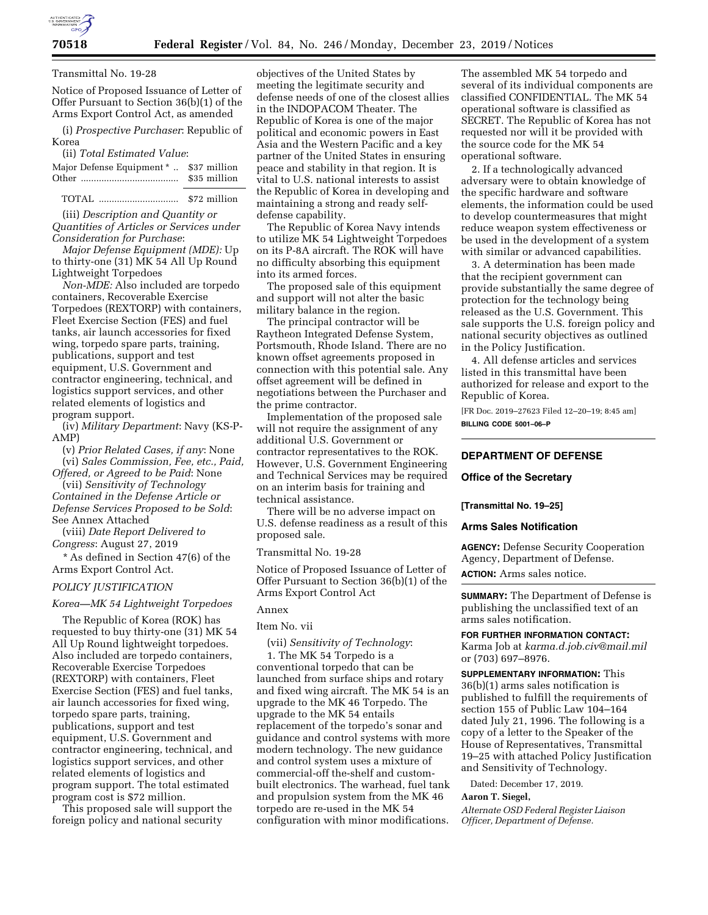

#### Transmittal No. 19-28

Notice of Proposed Issuance of Letter of Offer Pursuant to Section 36(b)(1) of the Arms Export Control Act, as amended

(i) *Prospective Purchaser*: Republic of Korea

(ii) *Total Estimated Value*:

| Major Defense Equipment *  \$37 million |              |
|-----------------------------------------|--------------|
|                                         | \$35 million |

TOTAL ............................... \$72 million

(iii) *Description and Quantity or Quantities of Articles or Services under Consideration for Purchase*:

*Major Defense Equipment (MDE):* Up to thirty-one (31) MK 54 All Up Round Lightweight Torpedoes

*Non-MDE:* Also included are torpedo containers, Recoverable Exercise Torpedoes (REXTORP) with containers, Fleet Exercise Section (FES) and fuel tanks, air launch accessories for fixed wing, torpedo spare parts, training, publications, support and test equipment, U.S. Government and contractor engineering, technical, and logistics support services, and other related elements of logistics and program support.

(iv) *Military Department*: Navy (KS-P-AMP)

(v) *Prior Related Cases, if any*: None (vi) *Sales Commission, Fee, etc., Paid, Offered, or Agreed to be Paid*: None

(vii) *Sensitivity of Technology Contained in the Defense Article or Defense Services Proposed to be Sold*: See Annex Attached

(viii) *Date Report Delivered to Congress*: August 27, 2019

\* As defined in Section 47(6) of the Arms Export Control Act.

#### *POLICY JUSTIFICATION*

#### *Korea—MK 54 Lightweight Torpedoes*

The Republic of Korea (ROK) has requested to buy thirty-one (31) MK 54 All Up Round lightweight torpedoes. Also included are torpedo containers, Recoverable Exercise Torpedoes (REXTORP) with containers, Fleet Exercise Section (FES) and fuel tanks, air launch accessories for fixed wing, torpedo spare parts, training, publications, support and test equipment, U.S. Government and contractor engineering, technical, and logistics support services, and other related elements of logistics and program support. The total estimated program cost is \$72 million.

This proposed sale will support the foreign policy and national security

objectives of the United States by meeting the legitimate security and defense needs of one of the closest allies in the INDOPACOM Theater. The Republic of Korea is one of the major political and economic powers in East Asia and the Western Pacific and a key partner of the United States in ensuring peace and stability in that region. It is vital to U.S. national interests to assist the Republic of Korea in developing and maintaining a strong and ready selfdefense capability.

The Republic of Korea Navy intends to utilize MK 54 Lightweight Torpedoes on its P-8A aircraft. The ROK will have no difficulty absorbing this equipment into its armed forces.

The proposed sale of this equipment and support will not alter the basic military balance in the region.

The principal contractor will be Raytheon Integrated Defense System, Portsmouth, Rhode Island. There are no known offset agreements proposed in connection with this potential sale. Any offset agreement will be defined in negotiations between the Purchaser and the prime contractor.

Implementation of the proposed sale will not require the assignment of any additional U.S. Government or contractor representatives to the ROK. However, U.S. Government Engineering and Technical Services may be required on an interim basis for training and technical assistance.

There will be no adverse impact on U.S. defense readiness as a result of this proposed sale.

## Transmittal No. 19-28

Notice of Proposed Issuance of Letter of Offer Pursuant to Section 36(b)(1) of the Arms Export Control Act

# Annex

#### Item No. vii

(vii) *Sensitivity of Technology*:

1. The MK 54 Torpedo is a conventional torpedo that can be launched from surface ships and rotary and fixed wing aircraft. The MK 54 is an upgrade to the MK 46 Torpedo. The upgrade to the MK 54 entails replacement of the torpedo's sonar and guidance and control systems with more modern technology. The new guidance and control system uses a mixture of commercial-off the-shelf and custombuilt electronics. The warhead, fuel tank and propulsion system from the MK 46 torpedo are re-used in the MK 54 configuration with minor modifications.

The assembled MK 54 torpedo and several of its individual components are classified CONFIDENTIAL. The MK 54 operational software is classified as SECRET. The Republic of Korea has not requested nor will it be provided with the source code for the MK 54 operational software.

2. If a technologically advanced adversary were to obtain knowledge of the specific hardware and software elements, the information could be used to develop countermeasures that might reduce weapon system effectiveness or be used in the development of a system with similar or advanced capabilities.

3. A determination has been made that the recipient government can provide substantially the same degree of protection for the technology being released as the U.S. Government. This sale supports the U.S. foreign policy and national security objectives as outlined in the Policy Justification.

4. All defense articles and services listed in this transmittal have been authorized for release and export to the Republic of Korea.

[FR Doc. 2019–27623 Filed 12–20–19; 8:45 am] **BILLING CODE 5001–06–P** 

### **DEPARTMENT OF DEFENSE**

#### **Office of the Secretary**

#### **[Transmittal No. 19–25]**

#### **Arms Sales Notification**

**AGENCY:** Defense Security Cooperation Agency, Department of Defense.

**ACTION:** Arms sales notice.

**SUMMARY:** The Department of Defense is publishing the unclassified text of an arms sales notification.

# **FOR FURTHER INFORMATION CONTACT:**

Karma Job at *[karma.d.job.civ@mail.mil](mailto:karma.d.job.civ@mail.mil)*  or (703) 697–8976.

**SUPPLEMENTARY INFORMATION:** This 36(b)(1) arms sales notification is published to fulfill the requirements of section 155 of Public Law 104–164 dated July 21, 1996. The following is a copy of a letter to the Speaker of the House of Representatives, Transmittal 19–25 with attached Policy Justification and Sensitivity of Technology.

Dated: December 17, 2019.

#### **Aaron T. Siegel,**

*Alternate OSD Federal Register Liaison Officer, Department of Defense.*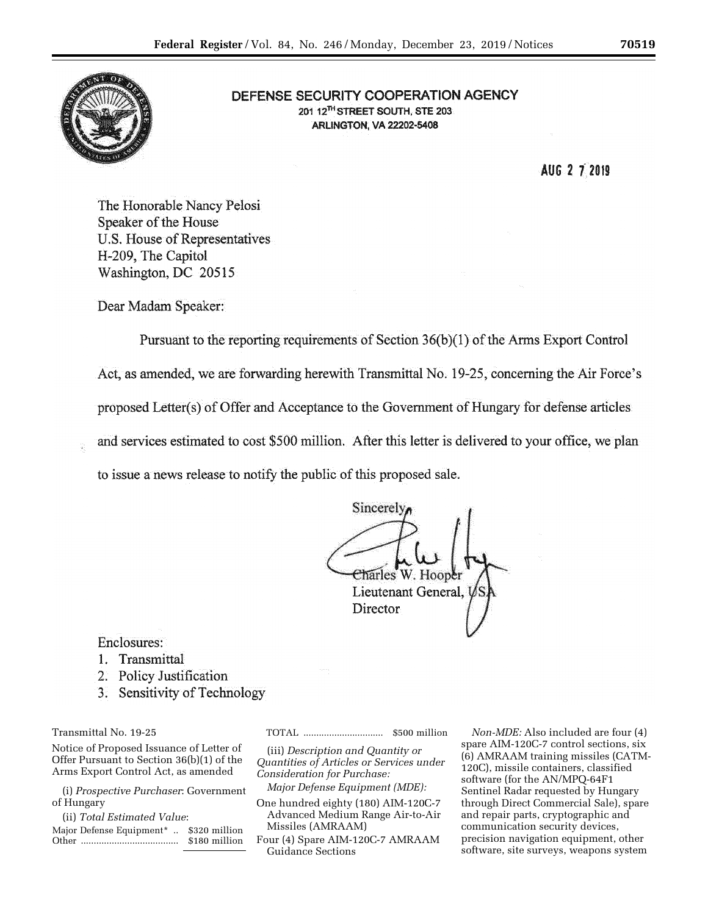

# **DEFENSE SECURITY COOPERATION AGENCY 20112THSTREET SOUTH, STE 203 AFlLINGTON, VA 22202-5408**

**AUG 2 t)019** 

The Honorable Nancy Pelosi Speaker of the House U.S. House of Representatives H-209, The Capitol Washington, DC 20515

Dear Madam Speaker:

Pursuant to the reporting requirements of Section  $36(b)(1)$  of the Arms Export Control Act, as amended, we are forwarding herewith Transmittal No. 19-25, concerning the Air Force's proposed Letter(s)• of Offerand Acceptance to the Government of Hungary for defense articles and services estimated to cost \$500 million. After this letter is delivered to your office, we plan to issue a news release to notify the public of this proposed sale.

Sincerel  $\sim$  .  $\sim$  . Thus  $\sim$ Lieutenant General, **Director** 

Enclosures:

- 1. Transmittal
- 2. Policy Justification
- 3. Sensitivity of Technology

Transmittal No. 19-25

Notice of Proposed Issuance of Letter of Offer Pursuant to Section 36(b)(1) of the Arms Export Control Act, as amended

(i) *Prospective Purchaser*: Government of Hungary

(ii) *Total Estimated Value*:

Major Defense Equipment\* .. \$320 million Other ...................................... \$180 million TOTAL ............................... \$500 million

(iii) *Description and Quantity or Quantities of Articles or Services under Consideration for Purchase:* 

*Major Defense Equipment (MDE):* 

One hundred eighty (180) AIM-120C-7 Advanced Medium Range Air-to-Air Missiles (AMRAAM)

Four (4) Spare AIM-120C-7 AMRAAM Guidance Sections

*Non-MDE:* Also included are four (4) spare AIM-120C-7 control sections, six (6) AMRAAM training missiles (CATM-120C), missile containers, classified software (for the AN/MPQ-64F1 Sentinel Radar requested by Hungary through Direct Commercial Sale), spare and repair parts, cryptographic and communication security devices, precision navigation equipment, other software, site surveys, weapons system